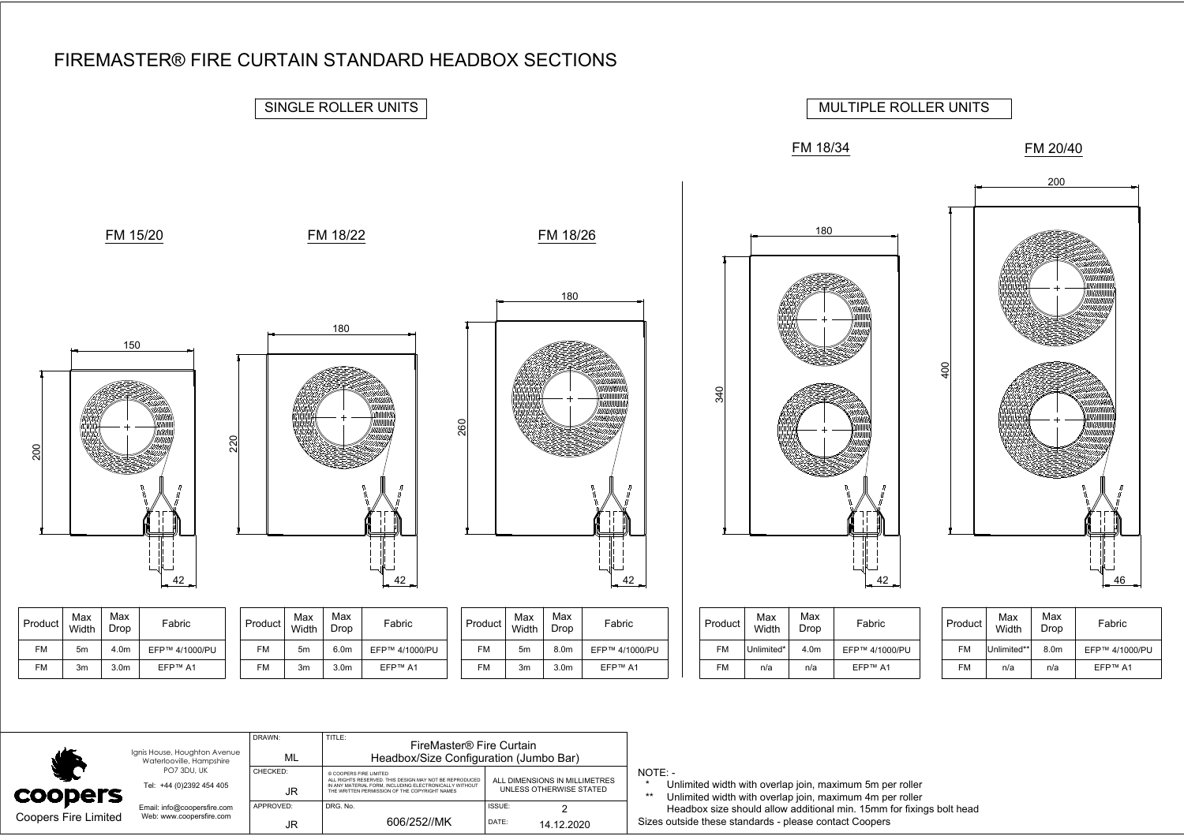

|                      | Ignis House, Houghton Avenue<br>Waterlooville, Hampshire | DRAWN:<br>ML    | TITLE:<br>FireMaster® Fire Curtain<br>Headbox/Size Configuration (Jumbo Bar)                                                                                                                |                                                          |                                                                                                                                   |
|----------------------|----------------------------------------------------------|-----------------|---------------------------------------------------------------------------------------------------------------------------------------------------------------------------------------------|----------------------------------------------------------|-----------------------------------------------------------------------------------------------------------------------------------|
| coopers              | PO7 3DU, UK<br>Tel: +44 (0)2392 454 405                  | CHECKED:<br>JR  | © COOPERS FIRE LIMITED<br>ALL RIGHTS RESERVED. THIS DESIGN MAY NOT BE REPRODUCED<br>IN ANY MATERIAL FORM. INCLUDING ELECTRONICALLY WITHOUT<br>THE WRITTEN PERMISSION OF THE COPYRIGHT NAMES | ALL DIMENSIONS IN MILLIMETRES<br>UNLESS OTHERWISE STATED | $NOTE: -$<br>Unlimited width with overlap join, maximum 5m per roller<br>Unlimited width with overlap join, maximum 4m per roller |
| Coopers Fire Limited | Email: info@coopersfire.com<br>Web: www.coopersfire.com  | APPROVED:<br>JR | DRG. No.<br>606/252//MK                                                                                                                                                                     | ISSUE:<br>DATE:<br>14.12.2020                            | Headbox size should allow additional min. 15mm for fixings bolt head<br>Sizes outside these standards - please contact Coopers    |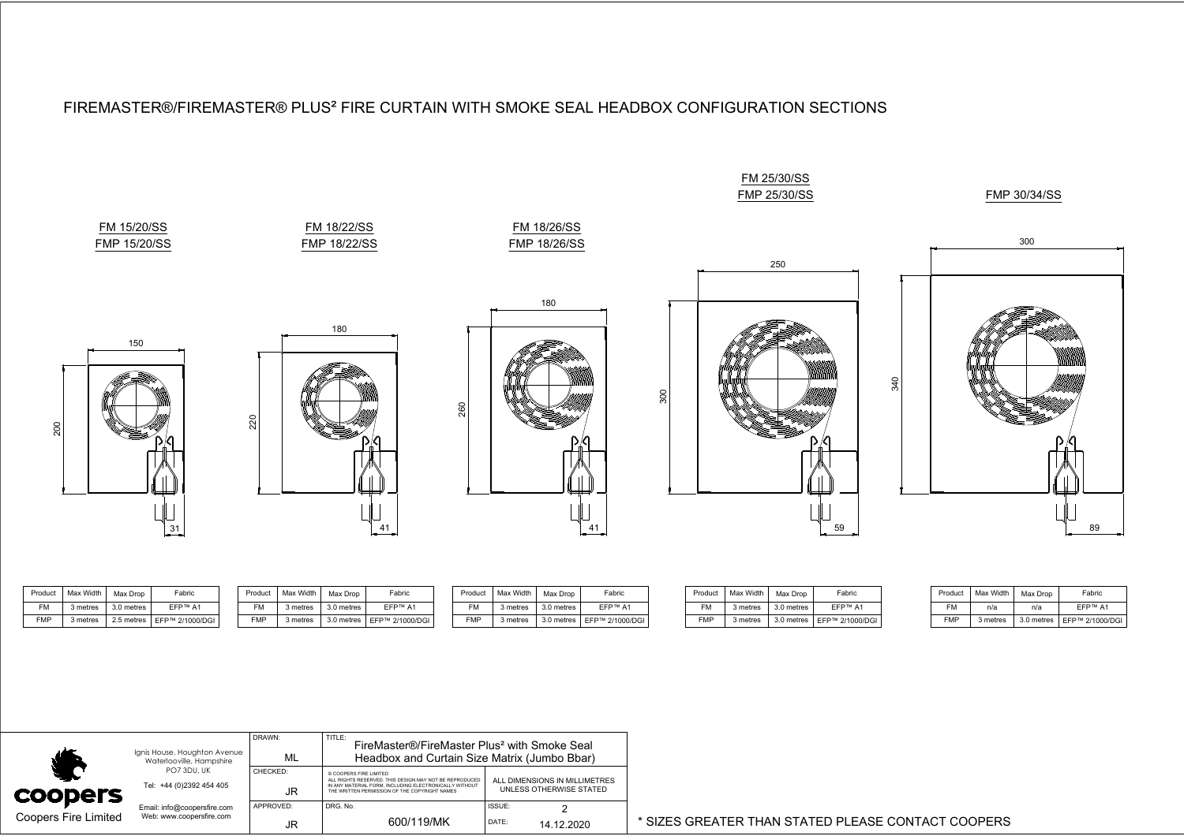

| Product    | Max Width I | Max Drop   | Fabric                       | Product | Max Width | Max Drop   | Fabrio                       | Product    | Max Width Max Drop |            | Fabric                       |            | Product   Max Width | Max Drop               | Fabri       |
|------------|-------------|------------|------------------------------|---------|-----------|------------|------------------------------|------------|--------------------|------------|------------------------------|------------|---------------------|------------------------|-------------|
| ⊑M         | 3 metres    | 3.0 metres | EFP™ A1                      | ≃M      | 3 metres  | 3.0 metres | <b>EFP™ A1</b>               | <b>CAA</b> | 3 metres           | 3.0 metres | EFP™ A1                      | <b>FM</b>  | 3 metres            | 3.0 metres             | <b>EFP™</b> |
| <b>FMP</b> | 3 metres    |            | 2.5 metres   EFP™ 2/1000/DGI | ⊏MP     | 3 metres  |            | 3.0 metres   EFP™ 2/1000/DGI | <b>FMP</b> | 3 metres           |            | 3.0 metres   EFP™ 2/1000/DGI | <b>FMP</b> | 3 metres            | 3.0 metres   EFP™ 2/10 |             |

| Product    | Max Width | Max Drop   | Fabric          |  |  |
|------------|-----------|------------|-----------------|--|--|
| <b>FM</b>  | n/a       | n/a        | <b>FFP™ A1</b>  |  |  |
| <b>FMP</b> | 3 metres  | 3.0 metres | EFP™ 2/1000/DGI |  |  |

|                             |                                                          | DRAWN:    | TITLE:<br>FireMaster®/FireMaster Plus <sup>2</sup> with Smoke Seal                                      |                               |                                                    |
|-----------------------------|----------------------------------------------------------|-----------|---------------------------------------------------------------------------------------------------------|-------------------------------|----------------------------------------------------|
|                             | Ignis House, Houghton Avenue<br>Waterlooville, Hampshire | ML        | Headbox and Curtain Size Matrix (Jumbo Bbar)                                                            |                               |                                                    |
|                             | PO7 3DU, UK                                              | CHECKED:  | © COOPERS FIRE LIMITED<br>ALL RIGHTS RESERVED. THIS DESIGN MAY NOT BE REPRODUCED                        | ALL DIMENSIONS IN MILLIMETRES |                                                    |
| <b>COODERS</b>              | Tel: +44 (0)2392 454 405                                 | JR.       | IN ANY MATERIAL FORM. INCLUDING ELECTRONICALLY WITHOUT<br>THE WRITTEN PERMISSION OF THE COPYRIGHT NAMES | UNLESS OTHERWISE STATED       |                                                    |
|                             | Email: info@coopersfire.com                              | APPROVED: | DRG, No.                                                                                                | ISSUE:                        |                                                    |
| <b>Coopers Fire Limited</b> | Web: www.coopersfire.com                                 |           | 600/119/MK                                                                                              | DATE:<br>14.12.2020           | * SIZES GREATER THAN STATED PLEASE CONTACT COOPERS |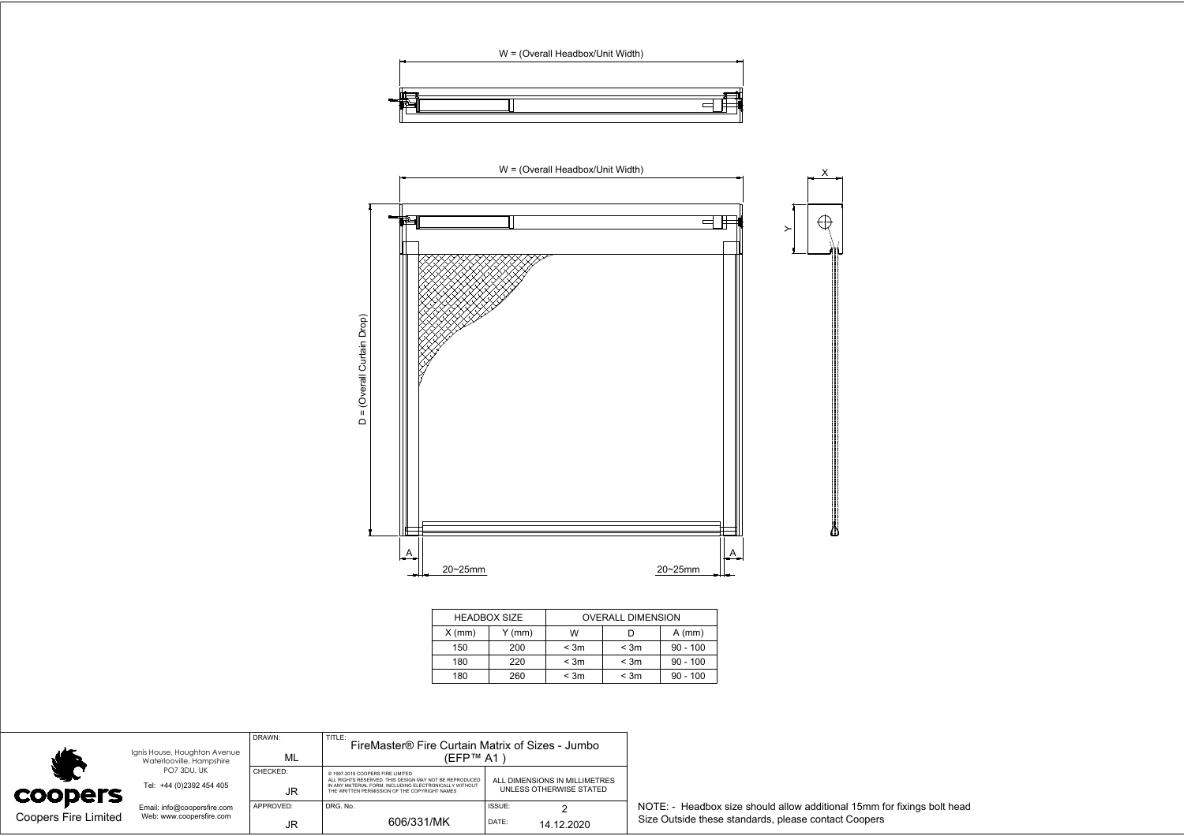



|          | <b>HEADBOX SIZE</b> | <b>OVERALL DIMENSION</b> |           |            |  |  |
|----------|---------------------|--------------------------|-----------|------------|--|--|
| $X$ (mm) | Y (mm)              | w                        |           | $A$ (mm)   |  |  |
| 150      | 200                 | < 3m                     | < 3m      | $90 - 100$ |  |  |
| 180      | 220                 | < 3m                     | < 3m      | $90 - 100$ |  |  |
| 180      | 260                 | $<$ 3 $m$                | $<$ 3 $m$ | $90 - 100$ |  |  |

| Ignis House, Houghton Avenue<br>Waterlooville, Hampshire |                                                         | DRAWN:<br>ML          | TITLE:<br>FireMaster® Fire Curtain Matrix of Sizes - Jumbo<br>(EFP™ A1)                                                                                                                                |                                                          |                                                                                                                                 |
|----------------------------------------------------------|---------------------------------------------------------|-----------------------|--------------------------------------------------------------------------------------------------------------------------------------------------------------------------------------------------------|----------------------------------------------------------|---------------------------------------------------------------------------------------------------------------------------------|
| <b>COODETS</b>                                           | PO7 3DU, UK<br>Tel: +44 (0)2392 454 405                 | CHECKED:<br><b>JR</b> | @ 1997-2018 COOPERS FIRE LIMITED.<br>ALL RIGHTS RESERVED. THIS DESIGN MAY NOT BE REPRODUCED<br>IN ANY MATERIAL FORM. INCLUDING ELECTRONICALLY WITHOUT<br>THE WRITTEN PERMISSION OF THE COPYRIGHT NAMES | ALL DIMENSIONS IN MILLIMETRES<br>UNLESS OTHERWISE STATED |                                                                                                                                 |
| <b>Coopers Fire Limited</b>                              | Email: info@coopersfire.com<br>Web: www.coopersfire.com | APPROVED:<br>JR       | DRG. No.<br>606/331/MK                                                                                                                                                                                 | ISSUE:<br>DATE:<br>14.12.2020                            | NOTE: - Headbox size should allow additional 15mm for fixings bolt head<br>Size Outside these standards, please contact Coopers |